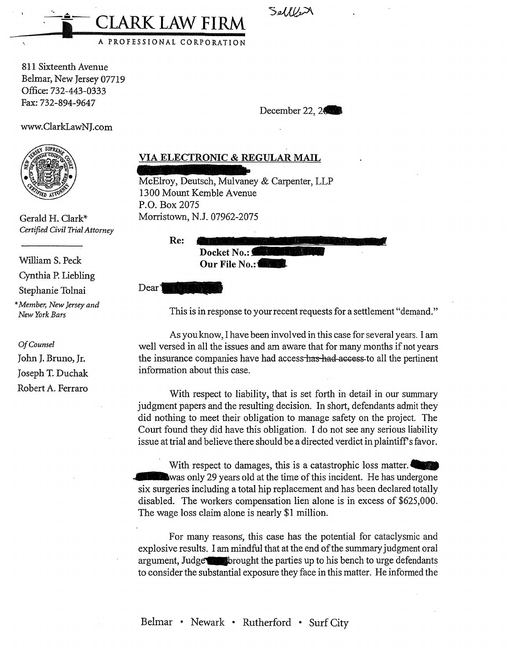Selller

December 22, 24

811 Sixteenth Avenue Belmar, New Jersey 07719 Office:732-443-0333 Fax:732-894-9647

 $-$ و

www.ClarkLawNJ.com



Gerald H. Clark\* *Certified Civil Trial Attorney* 

William S. Peck Cynthia P. Liebling Stephanie Tolnai \* *Member, New Jersey and New York Bars* 

*Of Counsel*  John J. Bruno, Jr. Joseph T. Duchak Robert A. Ferraro

## **VIA ELECTRONIC & REGULAR MAIL**

McElroy, Deutsch, Mulvaney & Carpenter, LLP 1300 Mount Kemble Avenue P.O. Box 2075 Morristown, N.J. 07962-2075

I **CLARK LAW FIRM** 

A PROFESSIONAL CORPORATION

**Re: Docket No.: Our File No.:** 

Dear<sup>1</sup>

This is in response to your recent requests for a settlement "demand."

As you know, I have been involved in this case for several years. I am well versed in all the issues and am aware that for many months if not years the insurance companies have had access has had-access to all the pertinent information about this case.

With respect to liability, that is set forth in detail in our summary judgment papers and the resulting decision. In short, defendants admit they did nothing to meet their obligation to manage safety on the project. The Court found they did have this obligation. I do not see any serious liability issue at trial and believe there should be a directed verdict in plaintiff's favor.

With respect to damages, this is a catastrophic loss matter. **Example 29 years old at the time of this incident.** He has undergone six surgeries including a total hip replacement and has been declared totally disabled. The workers compensation lien alone is in excess of \$625,000. The wage loss claim alone is nearly \$1 million.

For many reasons, this case has the potential for cataclysmic and explosive results. I am mindful that at the end of the summary judgment oral argument, Judge brought the parties up to his bench to urge defendants to consider the substantial exposure they face in this matter. He informed the